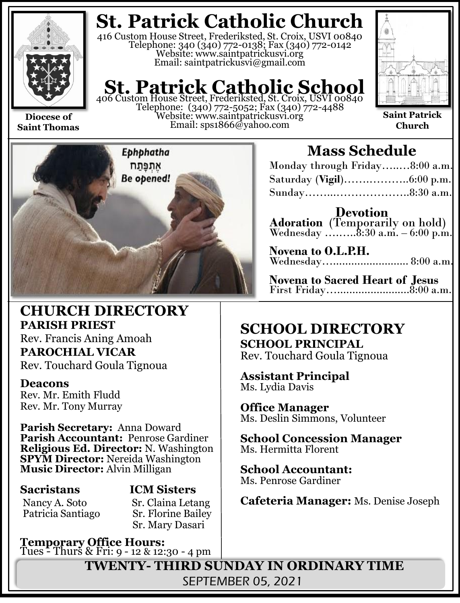

**Saint Thomas**

**St. Patrick Catholic Church**

416 Custom House Street, Frederiksted, St. Croix, USVI 00840 Telephone: 340 (340) 772-0138; Fax (340) 772-0142 Website: www.saintpatrickusvi.org Email: saintpatrickusvi@gmail.com

# **St. Patrick Catholic School**<br>406 Custom House Street, Frederiksted, St. Croix, USVI 00840

Telephone: (340) 772-5052; Fax (340) 772-4488 Website: www.saintpatrickusvi.org Email: sps1866@yahoo.com



**Saint Patrick Church**



## **CHURCH DIRECTORY PARISH PRIEST**

Rev. Francis Aning Amoah **PAROCHIAL VICAR** Rev. Touchard Goula Tignoua

### **Deacons**

Rev. Mr. Emith Fludd Rev. Mr. Tony Murray

**Parish Secretary:** Anna Doward **Parish Accountant:** Penrose Gardiner **Religious Ed. Director:** N. Washington **SPYM Director:** Nereida Washington **Music Director:** Alvin Milligan

Patricia Santiago

# **Sacristans ICM Sisters**

Nancy A. Soto Sr. Claina Letang<br>Patricia Santiago Sr. Florine Bailey Sr. Mary Dasari

**Temporary Office Hours:**  Tues - Thurs & Fri: 9 - 12 & 12:30 - 4 pm

# **Mass Schedule**

| Monday through Friday8:00 a.m. |  |
|--------------------------------|--|
|                                |  |
|                                |  |

**Devotion Adoration** (Temporarily on hold) Wednesday …....... $8:30$  a.m.  $-6:00$  p.m.

| Novena to O.L.P.H.  |  |
|---------------------|--|
| Wednesday 8:00 a.m. |  |

**Novena to Sacred Heart of Jesus** First Friday…........................8:00 a.m.

## **SCHOOL DIRECTORY SCHOOL PRINCIPAL**

Rev. Touchard Goula Tignoua

**Assistant Principal** Ms. Lydia Davis

**Office Manager** Ms. Deslin Simmons, Volunteer

**School Concession Manager** Ms. Hermitta Florent

**School Accountant:**  Ms. Penrose Gardiner

**Cafeteria Manager:** Ms. Denise Joseph

**TWENTY- THIRD SUNDAY IN ORDINARY TIME** SEPTEMBER 05, 2021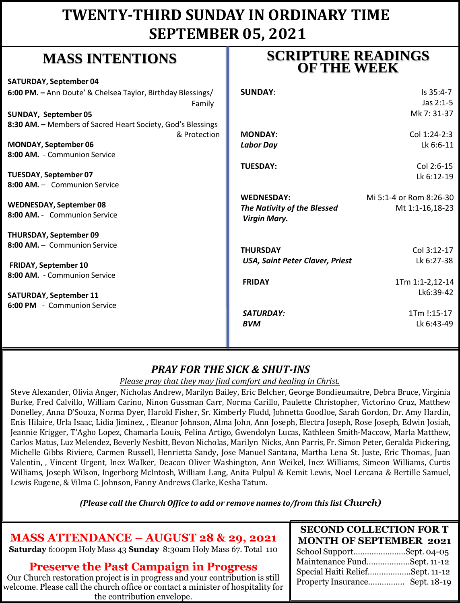# **TWENTY-THIRD SUNDAY IN ORDINARY TIME SEPTEMBER 05, 2021**

# **MASS INTENTIONS**

| <b>SATURDAY, September 04</b>                               |                                        |                         |
|-------------------------------------------------------------|----------------------------------------|-------------------------|
| 6:00 PM. - Ann Doute' & Chelsea Taylor, Birthday Blessings/ | <b>SUNDAY:</b>                         | Is 35:4-7               |
| Family                                                      |                                        | Jas 2:1-5               |
| SUNDAY, September 05                                        |                                        | Mk 7: 31-37             |
| 8:30 AM. - Members of Sacred Heart Society, God's Blessings |                                        |                         |
| & Protection                                                | <b>MONDAY:</b>                         | Col 1:24-2:3            |
| <b>MONDAY, September 06</b>                                 | <b>Labor Day</b>                       | Lk 6:6-11               |
| 8:00 AM. - Communion Service                                |                                        |                         |
|                                                             | <b>TUESDAY:</b>                        | Col 2:6-15              |
| TUESDAY, September 07                                       |                                        | Lk 6:12-19              |
| 8:00 AM. - Communion Service                                |                                        |                         |
|                                                             | <b>WEDNESDAY:</b>                      | Mi 5:1-4 or Rom 8:26-30 |
| <b>WEDNESDAY, September 08</b>                              | The Nativity of the Blessed            | Mt 1:1-16,18-23         |
| 8:00 AM. - Communion Service                                | <b>Virgin Mary.</b>                    |                         |
| <b>THURSDAY, September 09</b>                               |                                        |                         |
| 8:00 AM. - Communion Service                                | <b>THURSDAY</b>                        | Col 3:12-17             |
| <b>FRIDAY, September 10</b>                                 | <b>USA, Saint Peter Claver, Priest</b> | Lk 6:27-38              |
| 8:00 AM. - Communion Service                                |                                        |                         |
|                                                             | <b>FRIDAY</b>                          | 1Tm 1:1-2,12-14         |
| <b>SATURDAY, September 11</b>                               |                                        | Lk6:39-42               |
| 6:00 PM - Communion Service                                 |                                        |                         |
|                                                             | SATURDAY:                              | 1Tm !:15-17             |
|                                                             | <b>BVM</b>                             | Lk 6:43-49              |
|                                                             |                                        |                         |

## *PRAY FOR THE SICK & SHUT-INS*

#### *Please pray that they may find comfort and healing in Christ.*

Steve Alexander, Olivia Anger, Nicholas Andrew, Marilyn Bailey, Eric Belcher, George Bondieumaitre, Debra Bruce, Virginia Burke, Fred Calvillo, William Carino, Ninon Gussman Carr, Norma Carillo, Paulette Christopher, Victorino Cruz, Matthew Donelley, Anna D'Souza, Norma Dyer, Harold Fisher, Sr. Kimberly Fludd, Johnetta Goodloe, Sarah Gordon, Dr. Amy Hardin, Enis Hilaire, Urla Isaac, Lidia Jiminez, , Eleanor Johnson, Alma John, Ann Joseph, Electra Joseph, Rose Joseph, Edwin Josiah, Jeannie Krigger, T'Agho Lopez, Chamarla Louis, Felina Artigo, Gwendolyn Lucas, Kathleen Smith-Maccow, Marla Matthew, Carlos Matus, Luz Melendez, Beverly Nesbitt, Bevon Nicholas, Marilyn Nicks, Ann Parris, Fr. Simon Peter, Geralda Pickering, Michelle Gibbs Riviere, Carmen Russell, Henrietta Sandy, Jose Manuel Santana, Martha Lena St. Juste, Eric Thomas, Juan Valentin, , Vincent Urgent, Inez Walker, Deacon Oliver Washington, Ann Weikel, Inez Williams, Simeon Williams, Curtis Williams, Joseph Wilson, Ingerborg McIntosh, William Lang, Anita Pulpul & Kemit Lewis, Noel Lercana & Bertille Samuel, Lewis Eugene, & Vilma C. Johnson, Fanny Andrews Clarke, Kesha Tatum.

*(Please call the Church Office to add or remove names to/from this list Church)*

## **MASS ATTENDANCE – AUGUST 28 & 29, 2021**

**Saturday** 6:00pm Holy Mass 43 **Sunday** 8:30am Holy Mass 67. Total 110

### **Preserve the Past Campaign in Progress**

Our Church restoration project is in progress and your contribution is still welcome. Please call the church office or contact a minister of hospitality for the contribution envelope.

## **SCRIPTURE READINGS OF THE WEEK**

| <b>SECOND COLLECTION FOR T</b>  |  |
|---------------------------------|--|
| <b>MONTH OF SEPTEMBER 2021</b>  |  |
| School SupportSept. 04-05       |  |
| Maintenance FundSept. 11-12     |  |
| Special Haiti ReliefSept. 11-12 |  |
| Property Insurance Sept. 18-19  |  |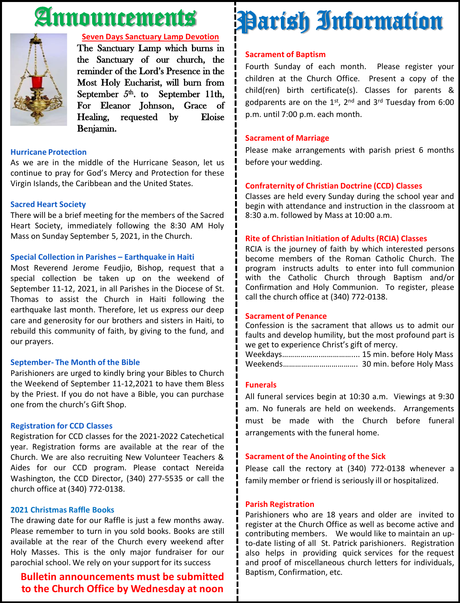# Announcements



#### **Seven Days Sanctuary Lamp Devotion**

The Sanctuary Lamp which burns in the Sanctuary of our church, the reminder of the Lord's Presence in the Most Holy Eucharist, will burn from September  $5<sup>th</sup>$ . to September 11th, For Eleanor Johnson, Grace of Healing, requested by Eloise Benjamin.

#### **Hurricane Protection**

As we are in the middle of the Hurricane Season, let us continue to pray for God's Mercy and Protection for these Virgin Islands, the Caribbean and the United States.

#### **Sacred Heart Society**

There will be a brief meeting for the members of the Sacred Heart Society, immediately following the 8:30 AM Holy Mass on Sunday September 5, 2021, in the Church.

#### **Special Collection in Parishes – Earthquake in Haiti**

Most Reverend Jerome Feudjio, Bishop, request that a special collection be taken up on the weekend of September 11-12, 2021, in all Parishes in the Diocese of St. Thomas to assist the Church in Haiti following the earthquake last month. Therefore, let us express our deep care and generosity for our brothers and sisters in Haiti, to rebuild this community of faith, by giving to the fund, and our prayers.

#### **September- The Month of the Bible**

Parishioners are urged to kindly bring your Bibles to Church the Weekend of September 11-12,2021 to have them Bless by the Priest. If you do not have a Bible, you can purchase one from the church's Gift Shop.

#### **Registration for CCD Classes**

Registration for CCD classes for the 2021-2022 Catechetical year. Registration forms are available at the rear of the Church. We are also recruiting New Volunteer Teachers & Aides for our CCD program. Please contact Nereida Washington, the CCD Director, (340) 277-5535 or call the church office at (340) 772-0138.

#### **2021 Christmas Raffle Books**

The drawing date for our Raffle is just a few months away. Please remember to turn in you sold books. Books are still available at the rear of the Church every weekend after Holy Masses. This is the only major fundraiser for our parochial school. We rely on your support for its success

#### **Bulletin announcements must be submitted to the Church Office by Wednesday at noon**

# Parish Information

#### **Sacrament of Baptism**

Fourth Sunday of each month. Please register your children at the Church Office. Present a copy of the child(ren) birth certificate(s). Classes for parents & godparents are on the 1st, 2<sup>nd</sup> and 3<sup>rd</sup> Tuesday from 6:00 p.m. until 7:00 p.m. each month.

#### **Sacrament of Marriage**

Please make arrangements with parish priest 6 months before your wedding.

#### **Confraternity of Christian Doctrine (CCD) Classes**

Classes are held every Sunday during the school year and begin with attendance and instruction in the classroom at 8:30 a.m. followed by Mass at 10:00 a.m.

#### **Rite of Christian Initiation of Adults (RCIA) Classes**

RCIA is the journey of faith by which interested persons become members of the Roman Catholic Church. The program instructs adults to enter into full communion with the Catholic Church through Baptism and/or Confirmation and Holy Communion. To register, please call the church office at (340) 772-0138.

#### **Sacrament of Penance**

Confession is the sacrament that allows us to admit our faults and develop humility, but the most profound part is we get to experience Christ's gift of mercy.

Weekdays……………….…………….... 15 min. before Holy Mass Weekends………………………………. 30 min. before Holy Mass

#### **Funerals**

All funeral services begin at 10:30 a.m. Viewings at 9:30 am. No funerals are held on weekends. Arrangements must be made with the Church before funeral arrangements with the funeral home.

#### **Sacrament of the Anointing of the Sick**

Please call the rectory at (340) 772-0138 whenever a family member or friend is seriously ill or hospitalized.

#### **Parish Registration**

Parishioners who are 18 years and older are invited to register at the Church Office as well as become active and contributing members. We would like to maintain an upto-date listing of all St. Patrick parishioners. Registration also helps in providing quick services for the request and proof of miscellaneous church letters for individuals, Baptism, Confirmation, etc.